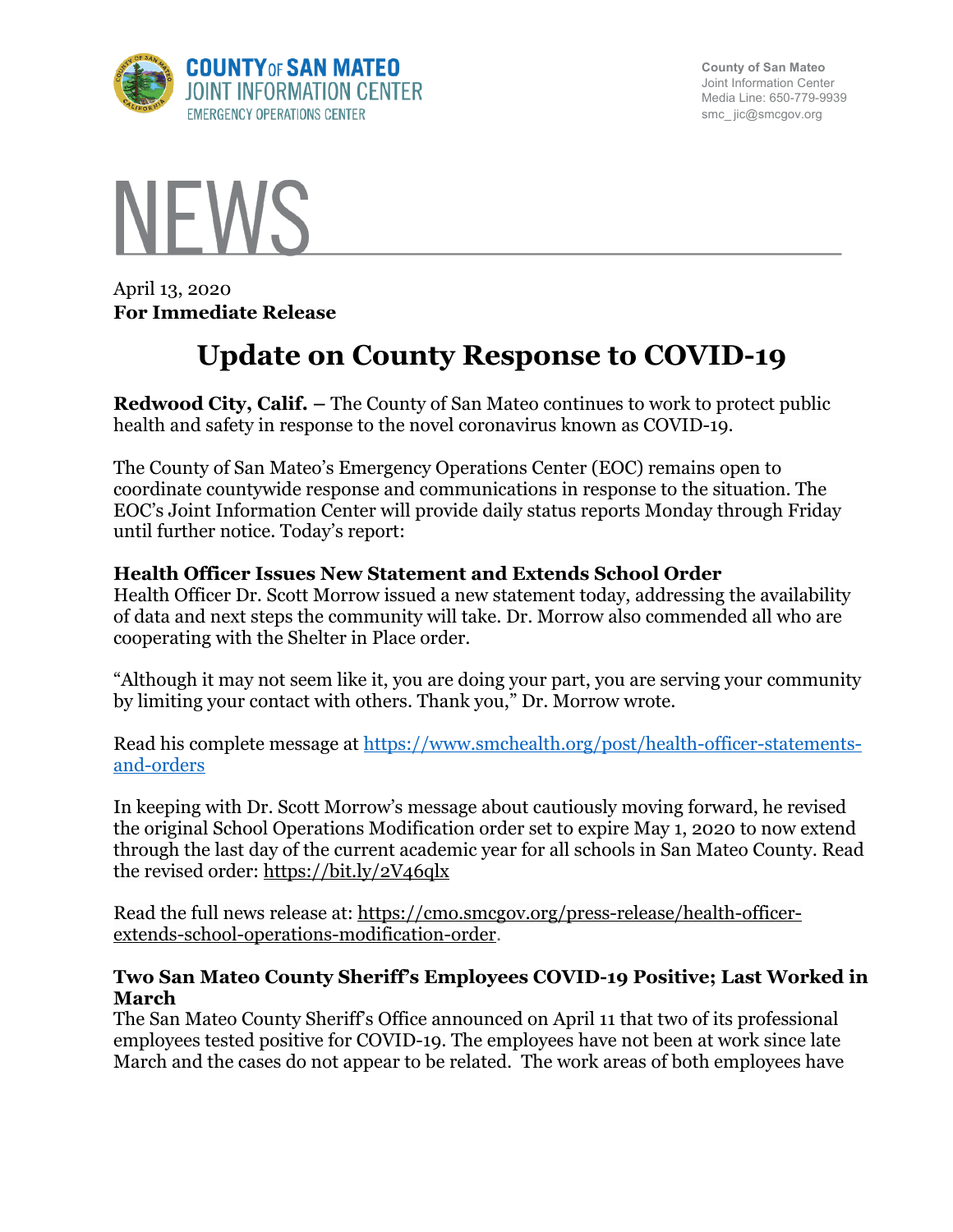

**County of San Mateo** Joint Information Center Media Line: 650-779-9939 smc\_ jic@smcgov.org



April 13, 2020 **For Immediate Release**

# **Update on County Response to COVID-19**

**Redwood City, Calif. –** The County of San Mateo continues to work to protect public health and safety in response to the novel coronavirus known as COVID-19.

The County of San Mateo's Emergency Operations Center (EOC) remains open to coordinate countywide response and communications in response to the situation. The EOC's Joint Information Center will provide daily status reports Monday through Friday until further notice. Today's report:

#### **Health Officer Issues New Statement and Extends School Order**

Health Officer Dr. Scott Morrow issued a new statement today, addressing the availability of data and next steps the community will take. Dr. Morrow also commended all who are cooperating with the Shelter in Place order.

"Although it may not seem like it, you are doing your part, you are serving your community by limiting your contact with others. Thank you," Dr. Morrow wrote.

Read his complete message at https://www.smchealth.org/post/health-officer-statementsand-orders

In keeping with Dr. Scott Morrow's message about cautiously moving forward, he revised the original School Operations Modification order set to expire May 1, 2020 to now extend through the last day of the current academic year for all schools in San Mateo County. Read the revised order: https://bit.ly/2V46qlx

Read the full news release at: https://cmo.smcgov.org/press-release/health-officerextends-school-operations-modification-order.

#### **Two San Mateo County Sheriff's Employees COVID-19 Positive; Last Worked in March**

The San Mateo County Sheriff's Office announced on April 11 that two of its professional employees tested positive for COVID-19. The employees have not been at work since late March and the cases do not appear to be related. The work areas of both employees have